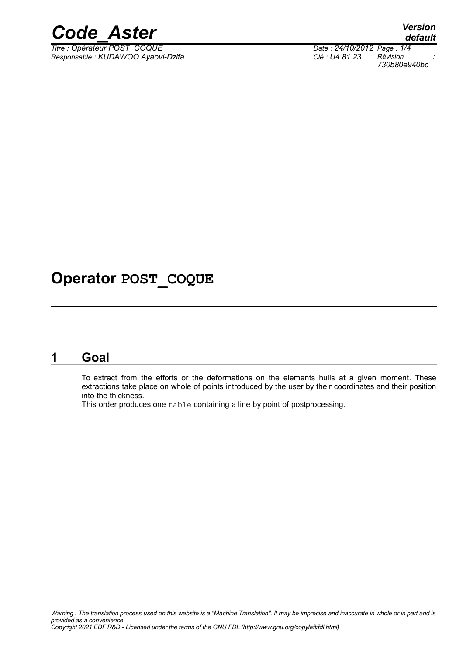

*Titre : Opérateur POST\_COQUE Date : 24/10/2012 Page : 1/4 Responsable : KUDAWOO Ayaovi-Dzifa Clé : U4.81.23 Révision :*

*default 730b80e940bc*

### **Operator POST\_COQUE**

### **1 Goal**

To extract from the efforts or the deformations on the elements hulls at a given moment. These extractions take place on whole of points introduced by the user by their coordinates and their position into the thickness.

This order produces one table containing a line by point of postprocessing.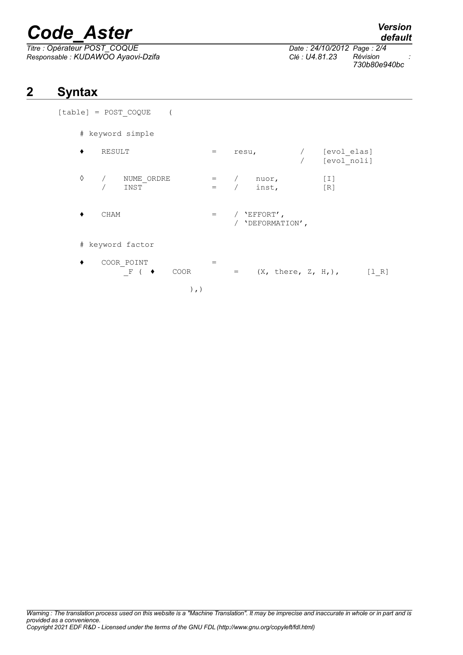# *Code\_Aster Version*

*Titre : Opérateur POST\_COQUE Date : 24/10/2012 Page : 2/4 Responsable : KUDAWOO Ayaovi-Dzifa Clé : U4.81.23 Révision :*

|                  |        | $[table] = POST COQUE$                   |    |     |  |                                        |  |                                |       |  |  |  |
|------------------|--------|------------------------------------------|----|-----|--|----------------------------------------|--|--------------------------------|-------|--|--|--|
| # keyword simple |        |                                          |    |     |  |                                        |  |                                |       |  |  |  |
|                  | RESULT |                                          |    | $=$ |  | resu,                                  |  | / [evol elas]<br>/ [evol noli] |       |  |  |  |
| ♦                |        | / NUME ORDRE<br>/ INST                   |    |     |  | $=$ / nuor,<br>$=$ / inst,             |  | $[\bot]$<br>[R]                |       |  |  |  |
|                  | CHAM   |                                          |    |     |  | $=$ / $'EFFORT'$ ,<br>/ 'DEFORMATION', |  |                                |       |  |  |  |
|                  |        | # keyword factor                         |    |     |  |                                        |  |                                |       |  |  |  |
| ٠                |        | COOR POINT<br>$F$ ( $\blacklozenge$ COOR |    | $=$ |  | $=$ $(X,$ there, $Z,$ H,),             |  |                                | [1 R] |  |  |  |
|                  |        |                                          | ), |     |  |                                        |  |                                |       |  |  |  |

## **2 Syntax**

*default*

*730b80e940bc*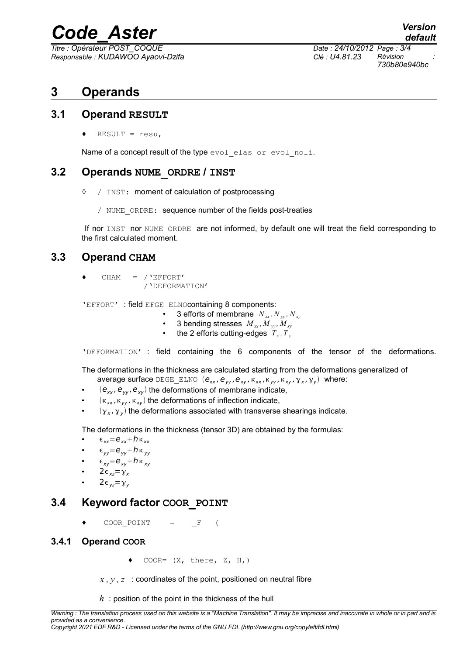# *Code\_Aster Version*

*Titre : Opérateur POST\_COQUE Date : 24/10/2012 Page : 3/4 Responsable : KUDAWOO Ayaovi-Dzifa Clé : U4.81.23 Révision :*

*730b80e940bc*

### **3 Operands**

#### **3.1 Operand RESULT**

 $\triangleleft$  RESULT = resu,

Name of a concept result of the type evol elas or evol noli.

#### **3.2 Operands NUME\_ORDRE / INST**

- ◊ / INST: moment of calculation of postprocessing
	- / NUME\_ORDRE: sequence number of the fields post-treaties

If nor INST nor NUME ORDRE are not informed, by default one will treat the field corresponding to the first calculated moment.

#### **3.3 Operand CHAM**

```
CHAM = /'EFFORT'/'DEFORMATION'
```
'EFFORT' : field EFGE\_ELNOcontaining 8 components:

- 3 efforts of membrane  $N_{xx}$ ,  $N_{yy}$ ,  $N_{xy}$
- 3 bending stresses  $M_{xx}$ ,  $M_{yy}$ ,  $M_{xy}$
- the 2 efforts cutting-edges  $T_x$ ,  $T_y$

'DEFORMATION' : field containing the 6 components of the tensor of the deformations.

The deformations in the thickness are calculated starting from the deformations generalized of

- average surface <code>DEGE\_ELNO (</code>e $_{xx}$ , e $_{yy}$ , e $_{xy}$ ,  $\kappa_{xx}$ ,  $\kappa_{yy}$ ,  $\kappa_{xy}$ ,  $\gamma_{x}$ ,  $\gamma_{y})$  where:
- $(e_{xx}, e_{yy}, e_{xy})$  the deformations of membrane indicate,
- $(\kappa_{xx}, \kappa_{yy}, \kappa_{xy})$  the deformations of inflection indicate,
- $(y_x, y_y)$  the deformations associated with transverse shearings indicate.

The deformations in the thickness (tensor 3D) are obtained by the formulas:

- $\epsilon_{xx} = e_{xx} + h \kappa_{xx}$
- $\epsilon_{yy} = e_{yy} + h \kappa_{yy}$
- $\epsilon_{xy} = e_{xy} + h \kappa_{xy}$
- $2\epsilon_{xz} = \gamma_x$
- $2\epsilon_{yz} = \gamma_{yz}$

### **3.4 Keyword factor COOR\_POINT**

COOR POINT  $=$   $F$  (

#### **3.4.1 Operand COOR**

- $\bullet$  COOR=  $(X, \text{ there}, Z, H)$
- $x, y, z$ : coordinates of the point, positioned on neutral fibre
- *h* : position of the point in the thickness of the hull